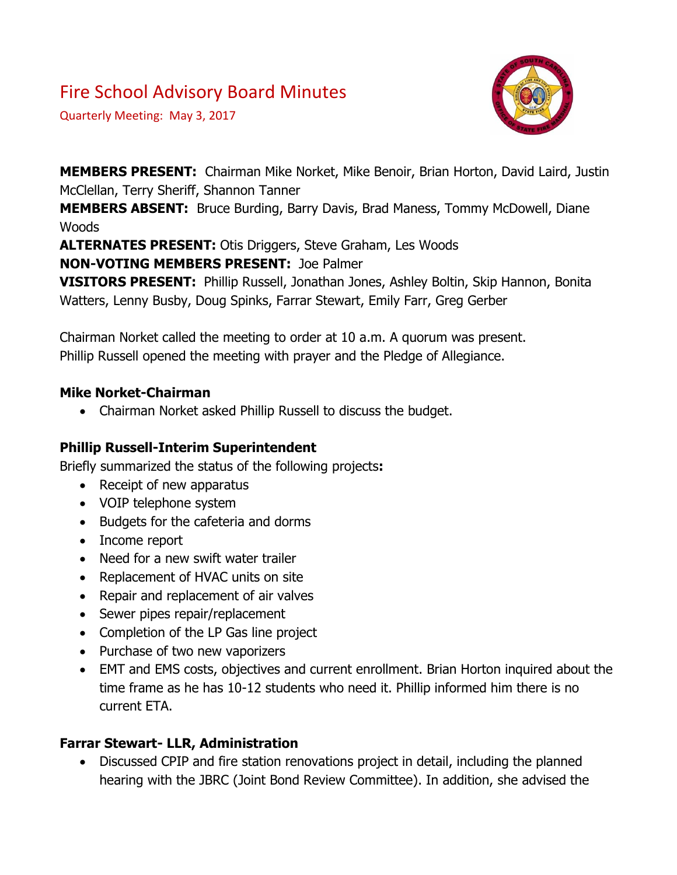# Fire School Advisory Board Minutes

Quarterly Meeting: May 3, 2017



**MEMBERS PRESENT:** Chairman Mike Norket, Mike Benoir, Brian Horton, David Laird, Justin McClellan, Terry Sheriff, Shannon Tanner

**MEMBERS ABSENT:** Bruce Burding, Barry Davis, Brad Maness, Tommy McDowell, Diane Woods

**ALTERNATES PRESENT:** Otis Driggers, Steve Graham, Les Woods

**NON-VOTING MEMBERS PRESENT:** Joe Palmer

**VISITORS PRESENT:** Phillip Russell, Jonathan Jones, Ashley Boltin, Skip Hannon, Bonita Watters, Lenny Busby, Doug Spinks, Farrar Stewart, Emily Farr, Greg Gerber

Chairman Norket called the meeting to order at 10 a.m. A quorum was present. Phillip Russell opened the meeting with prayer and the Pledge of Allegiance.

### **Mike Norket-Chairman**

Chairman Norket asked Phillip Russell to discuss the budget.

### **Phillip Russell-Interim Superintendent**

Briefly summarized the status of the following projects**:**

- Receipt of new apparatus
- VOIP telephone system
- Budgets for the cafeteria and dorms
- Income report
- Need for a new swift water trailer
- Replacement of HVAC units on site
- Repair and replacement of air valves
- Sewer pipes repair/replacement
- Completion of the LP Gas line project
- Purchase of two new vaporizers
- EMT and EMS costs, objectives and current enrollment. Brian Horton inquired about the time frame as he has 10-12 students who need it. Phillip informed him there is no current ETA.

### **Farrar Stewart- LLR, Administration**

• Discussed CPIP and fire station renovations project in detail, including the planned hearing with the JBRC (Joint Bond Review Committee). In addition, she advised the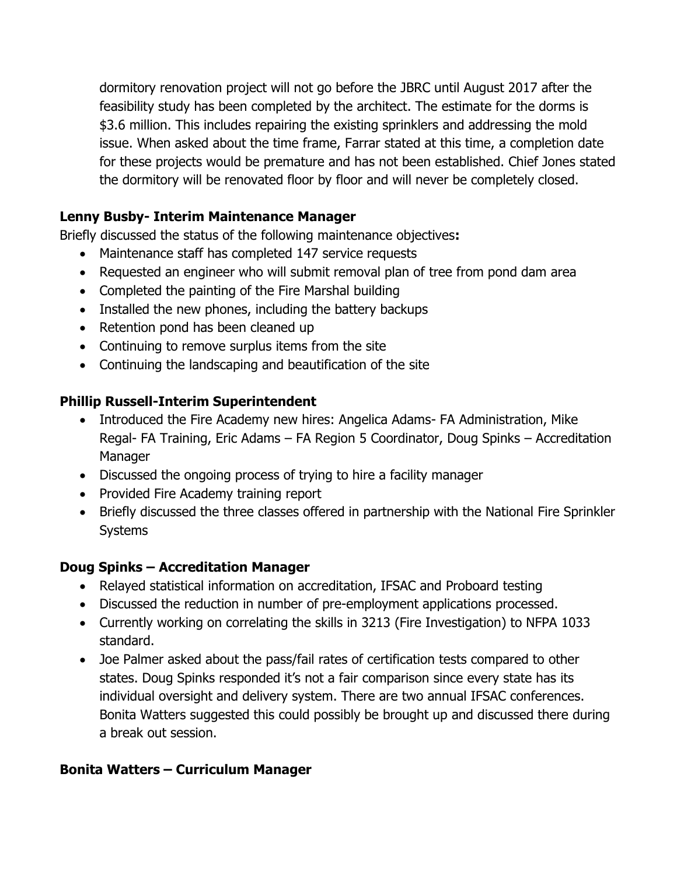dormitory renovation project will not go before the JBRC until August 2017 after the feasibility study has been completed by the architect. The estimate for the dorms is \$3.6 million. This includes repairing the existing sprinklers and addressing the mold issue. When asked about the time frame, Farrar stated at this time, a completion date for these projects would be premature and has not been established. Chief Jones stated the dormitory will be renovated floor by floor and will never be completely closed.

### **Lenny Busby- Interim Maintenance Manager**

Briefly discussed the status of the following maintenance objectives**:**

- Maintenance staff has completed 147 service requests
- Requested an engineer who will submit removal plan of tree from pond dam area
- Completed the painting of the Fire Marshal building
- Installed the new phones, including the battery backups
- Retention pond has been cleaned up
- Continuing to remove surplus items from the site
- Continuing the landscaping and beautification of the site

### **Phillip Russell-Interim Superintendent**

- Introduced the Fire Academy new hires: Angelica Adams- FA Administration, Mike Regal- FA Training, Eric Adams – FA Region 5 Coordinator, Doug Spinks – Accreditation Manager
- Discussed the ongoing process of trying to hire a facility manager
- Provided Fire Academy training report
- Briefly discussed the three classes offered in partnership with the National Fire Sprinkler Systems

### **Doug Spinks – Accreditation Manager**

- Relayed statistical information on accreditation, IFSAC and Proboard testing
- Discussed the reduction in number of pre-employment applications processed.
- Currently working on correlating the skills in 3213 (Fire Investigation) to NFPA 1033 standard.
- Joe Palmer asked about the pass/fail rates of certification tests compared to other states. Doug Spinks responded it's not a fair comparison since every state has its individual oversight and delivery system. There are two annual IFSAC conferences. Bonita Watters suggested this could possibly be brought up and discussed there during a break out session.

# **Bonita Watters – Curriculum Manager**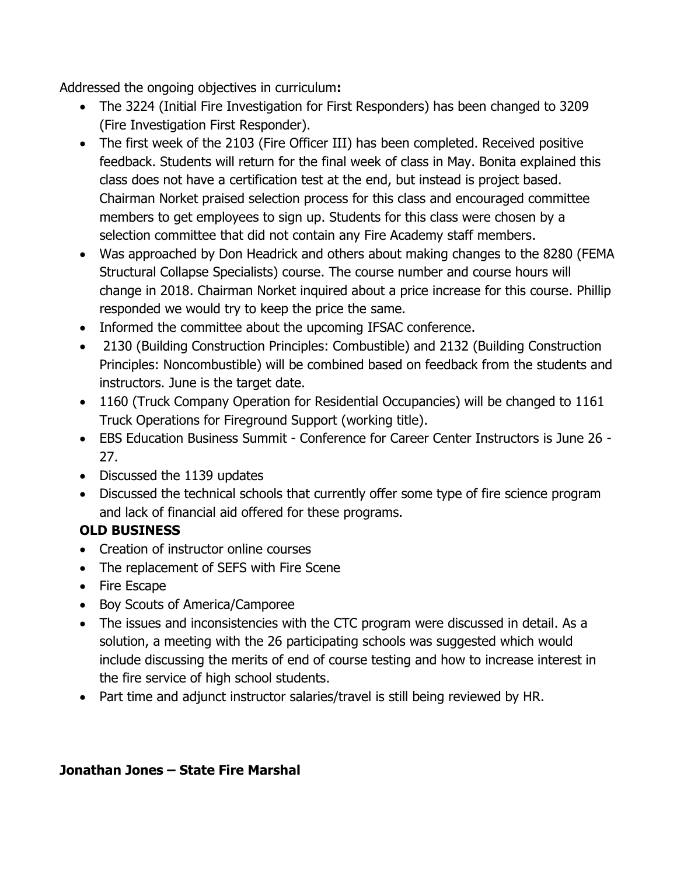Addressed the ongoing objectives in curriculum**:**

- The 3224 (Initial Fire Investigation for First Responders) has been changed to 3209 (Fire Investigation First Responder).
- The first week of the 2103 (Fire Officer III) has been completed. Received positive feedback. Students will return for the final week of class in May. Bonita explained this class does not have a certification test at the end, but instead is project based. Chairman Norket praised selection process for this class and encouraged committee members to get employees to sign up. Students for this class were chosen by a selection committee that did not contain any Fire Academy staff members.
- Was approached by Don Headrick and others about making changes to the 8280 (FEMA Structural Collapse Specialists) course. The course number and course hours will change in 2018. Chairman Norket inquired about a price increase for this course. Phillip responded we would try to keep the price the same.
- Informed the committee about the upcoming IFSAC conference.
- 2130 (Building Construction Principles: Combustible) and 2132 (Building Construction Principles: Noncombustible) will be combined based on feedback from the students and instructors. June is the target date.
- 1160 (Truck Company Operation for Residential Occupancies) will be changed to 1161 Truck Operations for Fireground Support (working title).
- EBS Education Business Summit Conference for Career Center Instructors is June 26 27.
- Discussed the 1139 updates
- Discussed the technical schools that currently offer some type of fire science program and lack of financial aid offered for these programs.

# **OLD BUSINESS**

- Creation of instructor online courses
- The replacement of SEFS with Fire Scene
- Fire Escape
- Boy Scouts of America/Camporee
- The issues and inconsistencies with the CTC program were discussed in detail. As a solution, a meeting with the 26 participating schools was suggested which would include discussing the merits of end of course testing and how to increase interest in the fire service of high school students.
- Part time and adjunct instructor salaries/travel is still being reviewed by HR.

### **Jonathan Jones – State Fire Marshal**